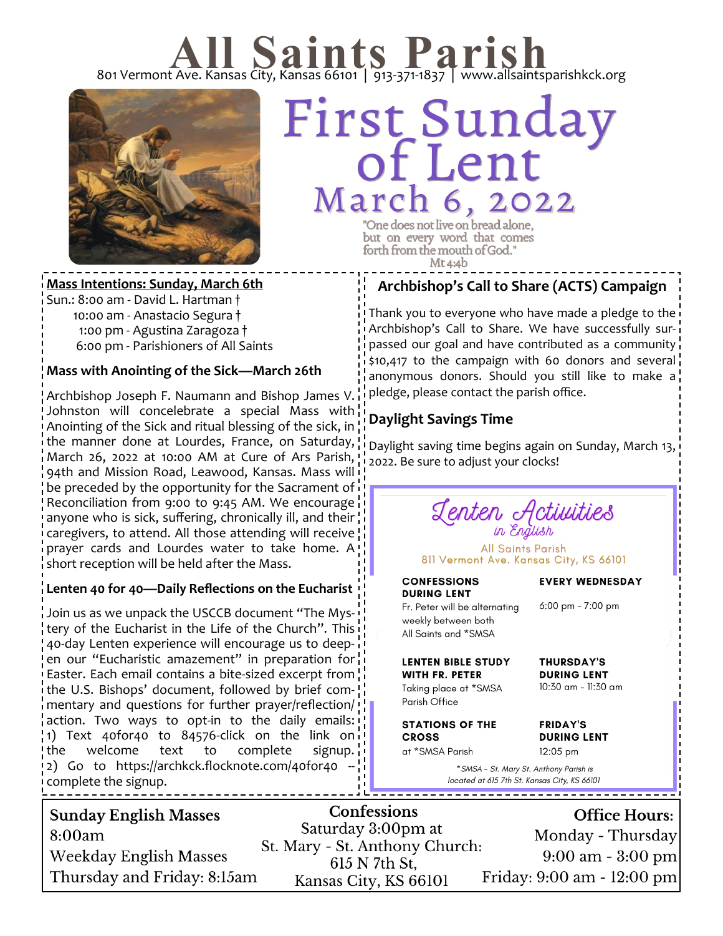# 801 Vermont Ave. Kansas City, Kansas 66101 | 913-371-1837 | www.allsaintsparishkck.org



# First Sunday March 6, 2022 "One does not live on bread alone,

but on every word that comes forth from the mouth of God."  $Mt4:4b$ 

**Mass Intentions: Sunday, March 6th** Sun.: 8:00 am - David L. Hartman † 10:00 am - Anastacio Segura †

 1:00 pm - Agustina Zaragoza † 6:00 pm - Parishioners of All Saints

## **Mass with Anointing of the Sick—March 26th**

Archbishop Joseph F. Naumann and Bishop James V. Johnston will concelebrate a special Mass with Anointing of the Sick and ritual blessing of the sick, in the manner done at Lourdes, France, on Saturday, March 26, 2022 at 10:00 AM at Cure of Ars Parish, 94th and Mission Road, Leawood, Kansas. Mass will be preceded by the opportunity for the Sacrament of Reconciliation from 9:00 to 9:45 AM. We encourage anyone who is sick, suffering, chronically ill, and their caregivers, to attend. All those attending will receive prayer cards and Lourdes water to take home. A short reception will be held after the Mass.

#### **Lenten 40 for 40—Daily Reflections on the Eucharist**

Join us as we unpack the USCCB document "The Mystery of the Eucharist in the Life of the Church". This 40-day Lenten experience will encourage us to deepen our "Eucharistic amazement" in preparation for Easter. Each email contains a bite-sized excerpt from the U.S. Bishops' document, followed by brief commentary and questions for further prayer/reflection/ action. Two ways to opt-in to the daily emails: 1) Text 40for40 to 84576-click on the link on the welcome text to complete signup. 2) Go to https://archkck.flocknote.com/40for40 - complete the signup.

# **Archbishop's Call to Share (ACTS) Campaign**

Thank you to everyone who have made a pledge to the Archbishop's Call to Share. We have successfully surpassed our goal and have contributed as a community \$10,417 to the campaign with 60 donors and several anonymous donors. Should you still like to make a pledge, please contact the parish office.

# **Daylight Savings Time**

Daylight saving time begins again on Sunday, March 13, 2022. Be sure to adjust your clocks!

Lenten Activities

**All Saints Parish** 811 Vermont Ave. Kansas City, KS 66101

**CONFESSIONS DURING LENT** Fr. Peter will be alternating

#### **EVERY WEDNESDAY**

6:00 pm - 7:00 pm

**THURSDAY'S** 

**DURING LENT** 10:30 am - 11:30 am

weekly between both All Saints and \*SMSA

**LENTEN BIBLE STUDY WITH FR. PETER** 

Taking place at \*SMSA Parish Office

**STATIONS OF THE CROSS** at \*SMSA Parish

**FRIDAY'S DURING LENT** 

12:05 pm \* SMSA - St. Mary St. Anthony Parish is

located at 615 7th St. Kansas City, KS 66101

| <b>Sunday English Masses</b><br>8:00am<br>Weekday English Masses | <b>Confessions</b><br>Saturday 3:00pm at<br>St. Mary - St. Anthony Church:<br>615 N 7th St. | <b>Office Hours:</b><br>Monday - Thursday<br>$9:00 \text{ am} - 3:00 \text{ pm}$ |
|------------------------------------------------------------------|---------------------------------------------------------------------------------------------|----------------------------------------------------------------------------------|
| Thursday and Friday: 8:15am                                      | Kansas City, KS 66101                                                                       | Friday: 9:00 am - 12:00 pm                                                       |